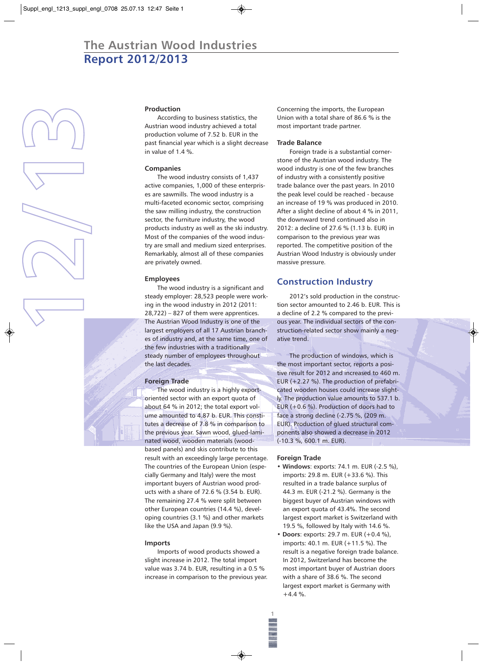# **The Austrian Wood Industries Report 2012/2013**



**1**

### **Production**

According to business statistics, the Austrian wood industry achieved a total production volume of 7.52 b. EUR in the past financial year which is a slight decrease in value of 1.4 %.

#### **Companies**

The wood industry consists of 1,437 active companies, 1,000 of these enterprises are sawmills. The wood industry is a multi-faceted economic sector, comprising the saw milling industry, the construction sector, the furniture industry, the wood products industry as well as the ski industry. Most of the companies of the wood industry are small and medium sized enterprises. Remarkably, almost all of these companies are privately owned.

#### **Employees**

The wood industry is a significant and steady employer: 28,523 people were working in the wood industry in 2012 (2011:  $28,722$ ) – 827 of them were apprentices. The Austrian Wood Industry is one of the largest employers of all 17 Austrian branches of industry and, at the same time, one of the few industries with a traditionally steady number of employees throughout the last decades.

#### **Foreign Trade**

The wood industry is a highly exportoriented sector with an export quota of about 64 % in 2012; the total export volume amounted to 4.87 b. EUR. This constitutes a decrease of 7.8 % in comparison to the previous year. Sawn wood, glued-laminated wood, wooden materials (woodbased panels) and skis contribute to this result with an exceedingly large percentage. The countries of the European Union (especially Germany and Italy) were the most important buyers of Austrian wood products with a share of 72.6 % (3.54 b. EUR). The remaining 27.4 % were split between other European countries (14.4 %), developing countries (3.1 %) and other markets like the USA and Japan (9.9 %).

#### **Imports**

Imports of wood products showed a slight increase in 2012. The total import value was 3.74 b. EUR, resulting in a 0.5 % increase in comparison to the previous year. Concerning the imports, the European Union with a total share of 86.6 % is the most important trade partner.

#### **Trade Balance**

Foreign trade is a substantial cornerstone of the Austrian wood industry. The wood industry is one of the few branches of industry with a consistently positive trade balance over the past years. In 2010 the peak level could be reached - because an increase of 19 % was produced in 2010. After a slight decline of about 4 % in 2011, the downward trend continued also in 2012: a decline of 27.6 % (1.13 b. EUR) in comparison to the previous year was reported. The competitive position of the Austrian Wood Industry is obviously under massive pressure.

# **Construction Industry**

2012's sold production in the construction sector amounted to 2.46 b. EUR. This is a decline of 2.2 % compared to the previous year. The individual sectors of the construction-related sector show mainly a negative trend.

The production of windows, which is the most important sector, reports a positive result for 2012 and increased to 460 m. EUR (+2.27 %). The production of prefabricated wooden houses could increase slightly. The production value amounts to 537.1 b. EUR (+0.6 %). Production of doors had to face a strong decline (-2.75 %, (209 m. EUR). Production of glued structural components also showed a decrease in 2012 (-10.3 %, 600.1 m. EUR).

#### **Foreign Trade**

**1**

◈

- **Windows**: exports: 74.1 m. EUR (-2.5 %), imports: 29.8 m. EUR (+33.6 %). This resulted in a trade balance surplus of 44.3 m. EUR (-21.2 %). Germany is the biggest buyer of Austrian windows with an export quota of 43.4%. The second largest export market is Switzerland with 19.5 %, followed by Italy with 14.6 %.
- **Doors**: exports: 29.7 m. EUR (+0.4 %), imports: 40.1 m. EUR (+11.5 %). The result is a negative foreign trade balance. In 2012, Switzerland has become the most important buyer of Austrian doors with a share of 38.6 %. The second largest export market is Germany with  $+4.4 \%$ .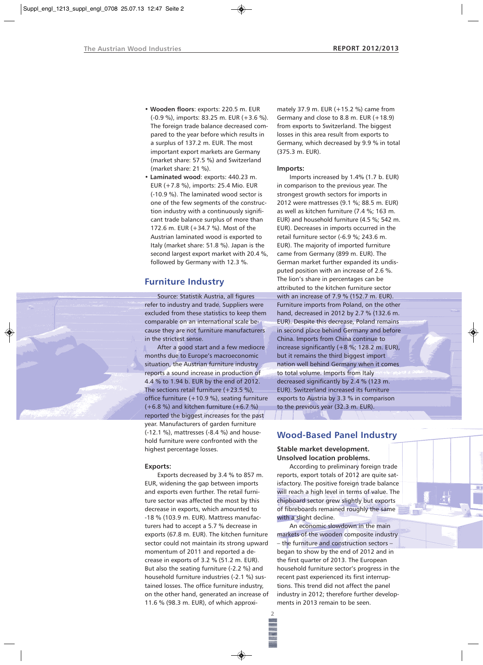- **Wooden floors**: exports: 220.5 m. EUR (-0.9 %), imports: 83.25 m. EUR (+3.6 %). The foreign trade balance decreased compared to the year before which results in a surplus of 137.2 m. EUR. The most important export markets are Germany (market share: 57.5 %) and Switzerland (market share: 21 %).
- **Laminated wood**: exports: 440.23 m. EUR (+7.8 %), imports: 25.4 Mio. EUR (-10.9 %). The laminated wood sector is one of the few segments of the construction industry with a continuously significant trade balance surplus of more than 172.6 m. EUR (+34.7 %). Most of the Austrian laminated wood is exported to Italy (market share: 51.8 %). Japan is the second largest export market with 20.4 %, followed by Germany with 12.3 %.

# **Furniture Industry**

Source: Statistik Austria, all figures refer to industry and trade. Suppliers were excluded from these statistics to keep them comparable on an international scale because they are not furniture manufacturers in the strictest sense.

After a good start and a few mediocre months due to Europe's macroeconomic situation, the Austrian furniture industry reports a sound increase in production of 4.4 % to 1.94 b. EUR by the end of 2012. The sections retail furniture  $(+23.5\%)$ , office furniture (+10.9 %), seating furniture  $(+6.8 \%)$  and kitchen furniture  $(+6.7 \%)$ reported the biggest increases for the past year. Manufacturers of garden furniture (-12.1 %), mattresses (-8.4 %) and household furniture were confronted with the highest percentage losses.

#### **Exports:**

Exports decreased by 3.4 % to 857 m. EUR, widening the gap between imports and exports even further. The retail furniture sector was affected the most by this decrease in exports, which amounted to -18 % (103.9 m. EUR). Mattress manufacturers had to accept a 5.7 % decrease in exports (67.8 m. EUR). The kitchen furniture sector could not maintain its strong upward momentum of 2011 and reported a decrease in exports of 3.2 % (51.2 m. EUR). But also the seating furniture (-2.2 %) and household furniture industries (-2.1 %) sustained losses. The office furniture industry, on the other hand, generated an increase of 11.6 % (98.3 m. EUR), of which approxi-

mately 37.9 m. EUR (+15.2 %) came from Germany and close to 8.8 m. EUR (+18.9) from exports to Switzerland. The biggest losses in this area result from exports to Germany, which decreased by 9.9 % in total (375.3 m. EUR).

#### **Imports:**

Imports increased by 1.4% (1.7 b. EUR) in comparison to the previous year. The strongest growth sectors for imports in 2012 were mattresses (9.1 %; 88.5 m. EUR) as well as kitchen furniture (7.4 %; 163 m. EUR) and household furniture (4.5 %; 542 m. EUR). Decreases in imports occurred in the retail furniture sector (-6.9 %; 243.6 m. EUR). The majority of imported furniture came from Germany (899 m. EUR). The German market further expanded its undisputed position with an increase of 2.6 %. The lion's share in percentages can be attributed to the kitchen furniture sector with an increase of 7.9 % (152.7 m. EUR). Furniture imports from Poland, on the other hand, decreased in 2012 by 2.7 % (132.6 m. EUR). Despite this decrease, Poland remains in second place behind Germany and before China. Imports from China continue to increase significantly (+8 %; 128.2 m. EUR), but it remains the third biggest import nation well behind Germany when it comes to total volume. Imports from Italy decreased significantly by 2.4 % (123 m. EUR). Switzerland increased its furniture exports to Austria by 3.3 % in comparison to the previous year (32.3 m. EUR).

# **Wood-Based Panel Industry**

**Stable market development. Unsolved location problems.**

According to preliminary foreign trade reports, export totals of 2012 are quite satisfactory. The positive foreign trade balance will reach a high level in terms of value. The chipboard sector grew slightly but exports of fibreboards remained roughly the same with a slight decline.

An economic slowdown in the main markets of the wooden composite industry – the furniture and construction sectors – began to show by the end of 2012 and in the first quarter of 2013. The European household furniture sector's progress in the recent past experienced its first interruptions. This trend did not affect the panel industry in 2012; therefore further developments in 2013 remain to be seen.

**2**

◈

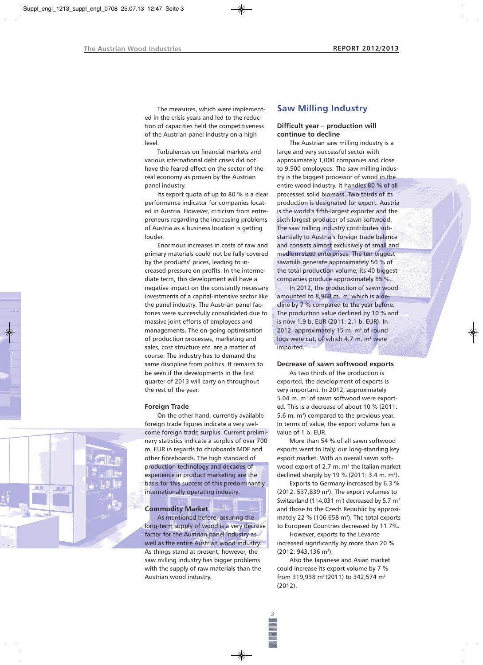The measures, which were implemented in the crisis years and led to the reduction of capacities held the competitiveness of the Austrian panel industry on a high level.

Turbulences on financial markets and various international debt crises did not have the feared effect on the sector of the real economy as proven by the Austrian panel industry.

Its export quota of up to 80 % is a clear performance indicator for companies located in Austria. However, criticism from entrepreneurs regarding the increasing problems of Austria as a business location is getting louder.

Enormous increases in costs of raw and primary materials could not be fully covered by the products' prices, leading to increased pressure on profits. In the intermediate term, this development will have a negative impact on the constantly necessary investments of a capital-intensive sector like the panel industry. The Austrian panel factories were successfully consolidated due to massive joint efforts of employees and managements. The on-going optimisation of production processes, marketing and sales, cost structure etc. are a matter of course. The industry has to demand the same discipline from politics. It remains to be seen if the developments in the first quarter of 2013 will carry on throughout the rest of the year.

#### **Foreign Trade**

On the other hand, currently available foreign trade figures indicate a very welcome foreign trade surplus. Current preliminary statistics indicate a surplus of over 700 m. EUR in regards to chipboards MDF and other fibreboards. The high standard of production technology and decades of experience in product marketing are the basis for this success of this predominantly internationally operating industry.

#### **Commodity Market**

As mentioned before, assuring the long-term supply of wood is a very decisive factor for the Austrian panel industry as well as the entire Austrian wood industry. As things stand at present, however, the saw milling industry has bigger problems with the supply of raw materials than the Austrian wood industry.

# **Saw Milling Industry**

### **Difficult year – production will continue to decline**

The Austrian saw milling industry is a large and very successful sector with approximately 1,000 companies and close to 9,500 employees. The saw milling industry is the biggest processor of wood in the entire wood industry. It handles 80 % of all processed solid biomass. Two thirds of its production is designated for export. Austria is the world's fifth-largest exporter and the sixth largest producer of sawn softwood. The saw milling industry contributes substantially to Austria's foreign trade balance and consists almost exclusively of small and medium sized enterprises. The ten biggest sawmills generate approximately 50 % of the total production volume; its 40 biggest companies produce approximately 85 %.

In 2012, the production of sawn wood amounted to 8,968 m.  $m<sup>3</sup>$  which is a decline by 7 % compared to the year before. The production value declined by 10 % and is now 1.9 b. EUR (2011: 2.1 b. EUR). In 2012, approximately 15 m. m<sup>3</sup> of round logs were cut, of which 4.7 m. m<sup>3</sup> were imported.

# **Decrease of sawn softwood exports**

As two thirds of the production is exported, the development of exports is very important. In 2012, approximately 5.04 m.  $m^3$  of sawn softwood were exported. This is a decrease of about 10 % (2011: 5.6 m.  $m^3$ ) compared to the previous year. In terms of value, the export volume has a value of 1 b. EUR.

More than 54 % of all sawn softwood exports went to Italy, our long-standing key export market. With an overall sawn softwood export of 2.7 m.  $m<sup>3</sup>$  the Italian market declined sharply by 19 % (2011: 3.4 m. m<sup>3</sup>).

Exports to Germany increased by 6.3 %  $(2012: 537, 839 \text{ m}^3)$ . The export volumes to Switzerland (114,031 m<sup>3</sup>) decreased by 5.7 m<sup>3</sup> and those to the Czech Republic by approximately 22  $%$  (106,658 m<sup>3</sup>). The total exports to European Countries decreased by 11.7%.

However, exports to the Levante increased significantly by more than 20 % (2012: 943,136 m<sup>3</sup>).

Also the Japanese and Asian market could increase its export volume by 7 % from 319,938 m<sup>3</sup> (2011) to 342,574 m<sup>3</sup> (2012).

**3**